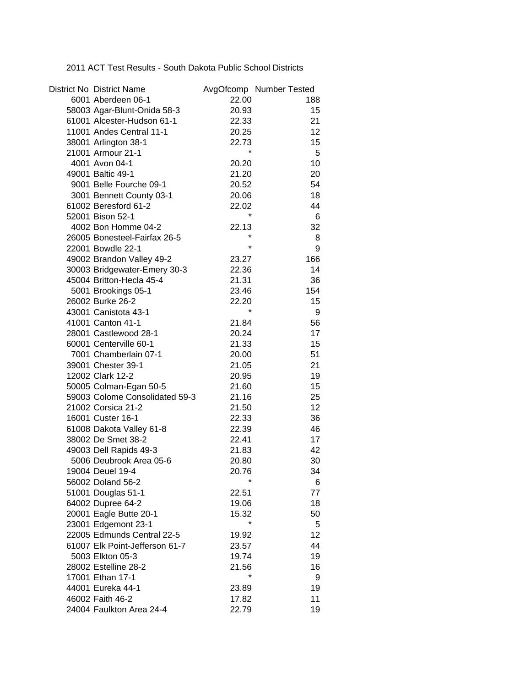2011 ACT Test Results - South Dakota Public School Districts

| District No District Name      |         | AvgOfcomp Number Tested |
|--------------------------------|---------|-------------------------|
| 6001 Aberdeen 06-1             | 22.00   | 188                     |
| 58003 Agar-Blunt-Onida 58-3    | 20.93   | 15                      |
| 61001 Alcester-Hudson 61-1     | 22.33   | 21                      |
| 11001 Andes Central 11-1       | 20.25   | 12                      |
| 38001 Arlington 38-1           | 22.73   | 15                      |
| 21001 Armour 21-1              | $\star$ | 5                       |
| 4001 Avon 04-1                 | 20.20   | 10 <sup>1</sup>         |
| 49001 Baltic 49-1              | 21.20   | 20                      |
| 9001 Belle Fourche 09-1        | 20.52   | 54                      |
| 3001 Bennett County 03-1       | 20.06   | 18                      |
| 61002 Beresford 61-2           | 22.02   | 44                      |
| 52001 Bison 52-1               | $\star$ | 6                       |
| 4002 Bon Homme 04-2            | 22.13   | 32                      |
| 26005 Bonesteel-Fairfax 26-5   |         | 8                       |
| 22001 Bowdle 22-1              | $\star$ | 9                       |
| 49002 Brandon Valley 49-2      | 23.27   | 166                     |
| 30003 Bridgewater-Emery 30-3   | 22.36   | 14                      |
| 45004 Britton-Hecla 45-4       | 21.31   | 36                      |
| 5001 Brookings 05-1            | 23.46   | 154                     |
| 26002 Burke 26-2               | 22.20   | 15                      |
| 43001 Canistota 43-1           |         | 9                       |
| 41001 Canton 41-1              | 21.84   | 56                      |
| 28001 Castlewood 28-1          | 20.24   | 17                      |
| 60001 Centerville 60-1         | 21.33   | 15                      |
| 7001 Chamberlain 07-1          | 20.00   | 51                      |
| 39001 Chester 39-1             | 21.05   | 21                      |
| 12002 Clark 12-2               |         | 19                      |
|                                | 20.95   | 15                      |
| 50005 Colman-Egan 50-5         | 21.60   |                         |
| 59003 Colome Consolidated 59-3 | 21.16   | 25                      |
| 21002 Corsica 21-2             | 21.50   | 12 <sub>2</sub>         |
| 16001 Custer 16-1              | 22.33   | 36                      |
| 61008 Dakota Valley 61-8       | 22.39   | 46                      |
| 38002 De Smet 38-2             | 22.41   | 17                      |
| 49003 Dell Rapids 49-3         | 21.83   | 42                      |
| 5006 Deubrook Area 05-6        | 20.80   | 30                      |
| 19004 Deuel 19-4               | 20.76   | 34                      |
| 56002 Doland 56-2              |         | 6                       |
| 51001 Douglas 51-1             | 22.51   | 77                      |
| 64002 Dupree 64-2              | 19.06   | 18                      |
| 20001 Eagle Butte 20-1         | 15.32   | 50                      |
| 23001 Edgemont 23-1            | $\star$ | 5                       |
| 22005 Edmunds Central 22-5     | 19.92   | 12 <sub>2</sub>         |
| 61007 Elk Point-Jefferson 61-7 | 23.57   | 44                      |
| 5003 Elkton 05-3               | 19.74   | 19                      |
| 28002 Estelline 28-2           | 21.56   | 16                      |
| 17001 Ethan 17-1               |         | 9                       |
| 44001 Eureka 44-1              | 23.89   | 19                      |
| 46002 Faith 46-2               | 17.82   | 11                      |
| 24004 Faulkton Area 24-4       | 22.79   | 19                      |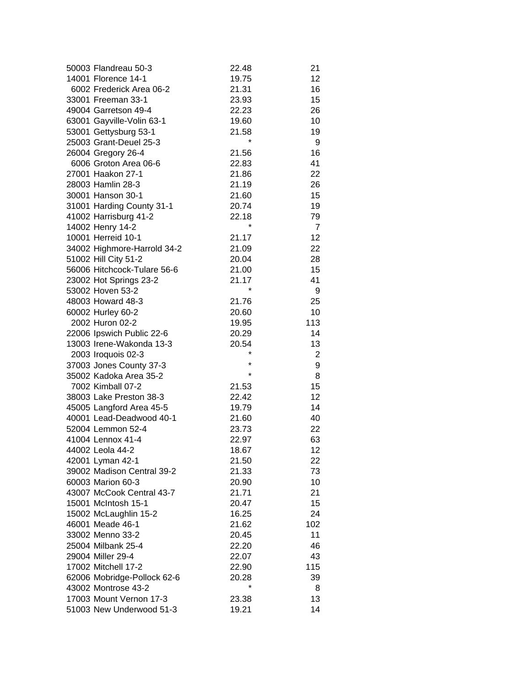| 50003 Flandreau 50-3                              | 22.48   | 21              |
|---------------------------------------------------|---------|-----------------|
| 14001 Florence 14-1                               | 19.75   | 12              |
| 6002 Frederick Area 06-2                          | 21.31   | 16              |
| 33001 Freeman 33-1                                | 23.93   | 15              |
| 49004 Garretson 49-4                              | 22.23   | 26              |
| 63001 Gayville-Volin 63-1                         | 19.60   | 10              |
| 53001 Gettysburg 53-1                             | 21.58   | 19              |
| 25003 Grant-Deuel 25-3                            |         | 9               |
| 26004 Gregory 26-4                                | 21.56   | 16              |
| 6006 Groton Area 06-6                             | 22.83   | 41              |
| 27001 Haakon 27-1                                 | 21.86   | 22              |
| 28003 Hamlin 28-3                                 | 21.19   | 26              |
| 30001 Hanson 30-1                                 | 21.60   | 15              |
| 31001 Harding County 31-1                         | 20.74   | 19              |
| 41002 Harrisburg 41-2                             | 22.18   | 79              |
| 14002 Henry 14-2                                  | $\star$ | $\overline{7}$  |
| 10001 Herreid 10-1                                | 21.17   | 12              |
| 34002 Highmore-Harrold 34-2                       | 21.09   | 22              |
| 51002 Hill City 51-2                              | 20.04   | 28              |
| 56006 Hitchcock-Tulare 56-6                       | 21.00   | 15              |
| 23002 Hot Springs 23-2                            | 21.17   | 41              |
| 53002 Hoven 53-2                                  | $\star$ | 9               |
| 48003 Howard 48-3                                 | 21.76   | 25              |
| 60002 Hurley 60-2                                 | 20.60   | 10              |
| 2002 Huron 02-2                                   | 19.95   | 113             |
| 22006 Ipswich Public 22-6                         | 20.29   | 14              |
| 13003 Irene-Wakonda 13-3                          | 20.54   | 13              |
|                                                   | $\star$ | $\overline{2}$  |
| 2003 Iroquois 02-3                                | $\star$ | 9               |
| 37003 Jones County 37-3<br>35002 Kadoka Area 35-2 | $\star$ | 8               |
| 7002 Kimball 07-2                                 | 21.53   | 15              |
|                                                   |         | 12              |
| 38003 Lake Preston 38-3                           | 22.42   | 14              |
| 45005 Langford Area 45-5                          | 19.79   |                 |
| 40001 Lead-Deadwood 40-1                          | 21.60   | 40              |
| 52004 Lemmon 52-4                                 | 23.73   | 22              |
| 41004 Lennox 41-4                                 | 22.97   | 63              |
| 44002 Leola 44-2                                  | 18.67   | 12 <sup>2</sup> |
| 42001 Lyman 42-1                                  | 21.50   | 22              |
| 39002 Madison Central 39-2                        | 21.33   | 73              |
| 60003 Marion 60-3                                 | 20.90   | 10              |
| 43007 McCook Central 43-7                         | 21.71   | 21              |
| 15001 McIntosh 15-1                               | 20.47   | 15              |
| 15002 McLaughlin 15-2                             | 16.25   | 24              |
| 46001 Meade 46-1                                  | 21.62   | 102             |
| 33002 Menno 33-2                                  | 20.45   | 11              |
| 25004 Milbank 25-4                                | 22.20   | 46              |
| 29004 Miller 29-4                                 | 22.07   | 43              |
| 17002 Mitchell 17-2                               | 22.90   | 115             |
| 62006 Mobridge-Pollock 62-6                       | 20.28   | 39              |
| 43002 Montrose 43-2                               |         | 8               |
| 17003 Mount Vernon 17-3                           | 23.38   | 13              |
| 51003 New Underwood 51-3                          | 19.21   | 14              |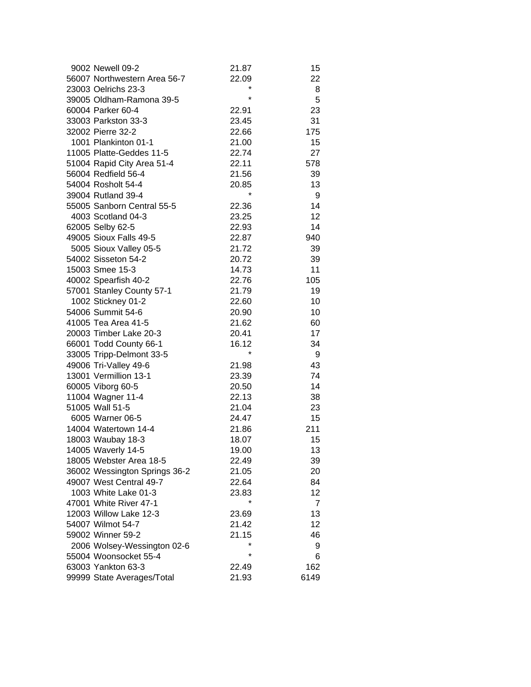| 9002 Newell 09-2              | 21.87   | 15             |
|-------------------------------|---------|----------------|
| 56007 Northwestern Area 56-7  | 22.09   | 22             |
| 23003 Oelrichs 23-3           |         | 8              |
| 39005 Oldham-Ramona 39-5      | $\star$ | 5              |
| 60004 Parker 60-4             | 22.91   | 23             |
| 33003 Parkston 33-3           | 23.45   | 31             |
| 32002 Pierre 32-2             | 22.66   | 175            |
| 1001 Plankinton 01-1          | 21.00   | 15             |
| 11005 Platte-Geddes 11-5      | 22.74   | 27             |
| 51004 Rapid City Area 51-4    | 22.11   | 578            |
| 56004 Redfield 56-4           | 21.56   | 39             |
| 54004 Rosholt 54-4            | 20.85   | 13             |
| 39004 Rutland 39-4            | $\star$ | 9              |
| 55005 Sanborn Central 55-5    | 22.36   | 14             |
| 4003 Scotland 04-3            | 23.25   | 12             |
| 62005 Selby 62-5              | 22.93   | 14             |
| 49005 Sioux Falls 49-5        | 22.87   | 940            |
| 5005 Sioux Valley 05-5        | 21.72   | 39             |
| 54002 Sisseton 54-2           | 20.72   | 39             |
| 15003 Smee 15-3               | 14.73   | 11             |
| 40002 Spearfish 40-2          | 22.76   | 105            |
| 57001 Stanley County 57-1     | 21.79   | 19             |
| 1002 Stickney 01-2            | 22.60   | 10             |
| 54006 Summit 54-6             | 20.90   | 10             |
| 41005 Tea Area 41-5           | 21.62   | 60             |
| 20003 Timber Lake 20-3        | 20.41   | 17             |
| 66001 Todd County 66-1        | 16.12   | 34             |
| 33005 Tripp-Delmont 33-5      | $\star$ | 9              |
| 49006 Tri-Valley 49-6         | 21.98   | 43             |
| 13001 Vermillion 13-1         | 23.39   | 74             |
| 60005 Viborg 60-5             | 20.50   | 14             |
| 11004 Wagner 11-4             | 22.13   | 38             |
| 51005 Wall 51-5               | 21.04   | 23             |
| 6005 Warner 06-5              | 24.47   | 15             |
| 14004 Watertown 14-4          | 21.86   | 211            |
| 18003 Waubay 18-3             | 18.07   | 15             |
| 14005 Waverly 14-5            | 19.00   | 13             |
| 18005 Webster Area 18-5       | 22.49   | 39             |
| 36002 Wessington Springs 36-2 | 21.05   | 20             |
| 49007 West Central 49-7       | 22.64   | 84             |
| 1003 White Lake 01-3          | 23.83   | 12             |
| 47001 White River 47-1        |         | $\overline{7}$ |
| 12003 Willow Lake 12-3        | 23.69   | 13             |
| 54007 Wilmot 54-7             | 21.42   | 12             |
| 59002 Winner 59-2             | 21.15   | 46             |
| 2006 Wolsey-Wessington 02-6   |         | 9              |
| 55004 Woonsocket 55-4         | $\star$ | 6              |
| 63003 Yankton 63-3            | 22.49   | 162            |
| 99999 State Averages/Total    | 21.93   | 6149           |